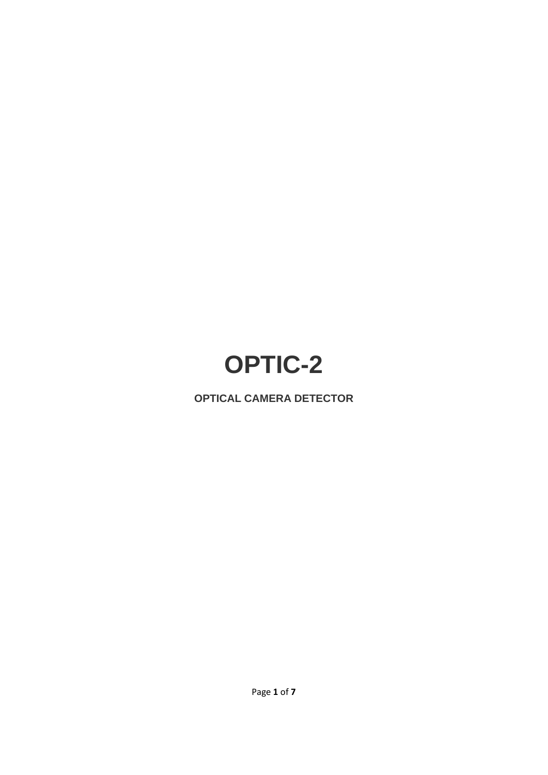# **OPTIC-2**

**OPTICAL CAMERA DETECTOR**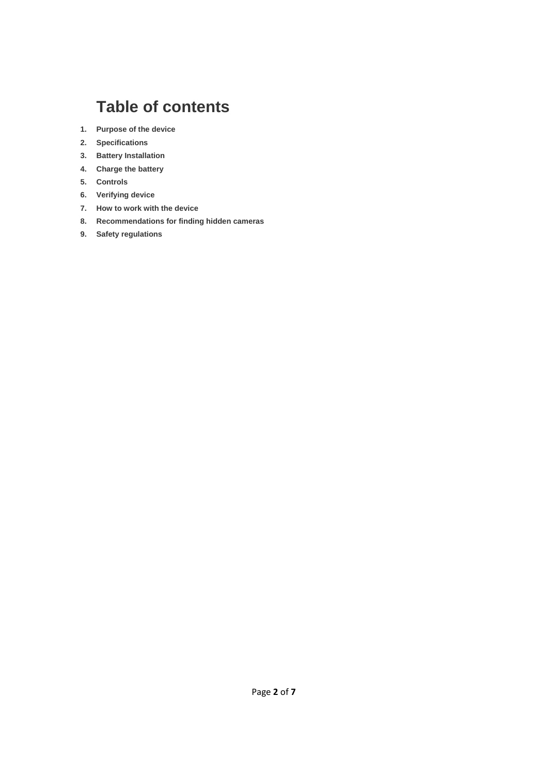# **Table of contents**

- **1. Purpose of the device**
- **2. Specifications**
- **3. Battery Installation**
- **4. Charge the battery**
- **5. Controls**
- **6. Verifying device**
- **7. How to work with the device**
- **8. Recommendations for finding hidden cameras**
- **9. Safety regulations**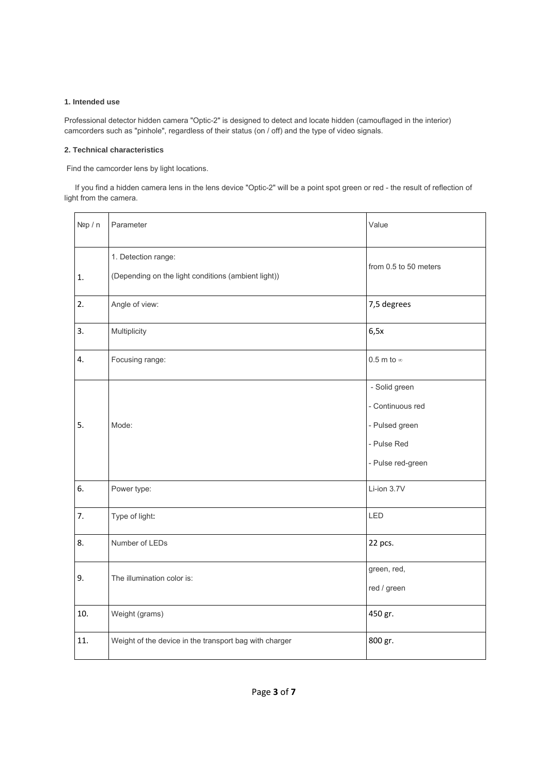#### **1. Intended use**

Professional detector hidden camera "Optic-2" is designed to detect and locate hidden (camouflaged in the interior) camcorders such as "pinhole", regardless of their status (on / off) and the type of video signals.

#### **2. Technical characteristics**

Find the camcorder lens by light locations.

 If you find a hidden camera lens in the lens device "Optic-2" will be a point spot green or red - the result of reflection of light from the camera.

| Nºp / n | Parameter                                                                  | Value                                                                                   |
|---------|----------------------------------------------------------------------------|-----------------------------------------------------------------------------------------|
| 1.      | 1. Detection range:<br>(Depending on the light conditions (ambient light)) | from 0.5 to 50 meters                                                                   |
| 2.      | Angle of view:                                                             | 7,5 degrees                                                                             |
| 3.      | Multiplicity                                                               | 6,5x                                                                                    |
| 4.      | Focusing range:                                                            | 0.5 m to $\infty$                                                                       |
| 5.      | Mode:                                                                      | - Solid green<br>- Continuous red<br>- Pulsed green<br>- Pulse Red<br>- Pulse red-green |
| 6.      | Power type:                                                                | Li-ion 3.7V                                                                             |
| 7.      | Type of light:                                                             | LED                                                                                     |
| 8.      | Number of LEDs                                                             | 22 pcs.                                                                                 |
| 9.      | The illumination color is:                                                 | green, red,<br>red / green                                                              |
| 10.     | Weight (grams)                                                             | 450 gr.                                                                                 |
| 11.     | Weight of the device in the transport bag with charger                     | 800 gr.                                                                                 |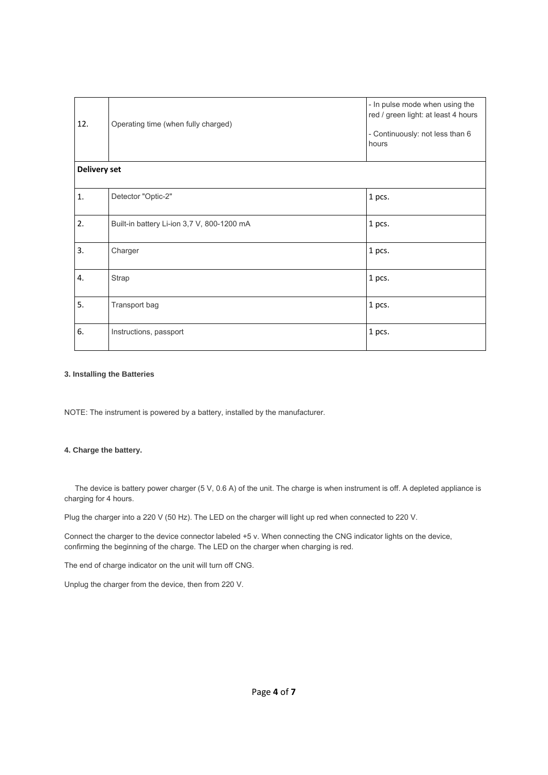| 12.                 | Operating time (when fully charged)        | - In pulse mode when using the<br>red / green light: at least 4 hours<br>- Continuously: not less than 6<br>hours |  |
|---------------------|--------------------------------------------|-------------------------------------------------------------------------------------------------------------------|--|
| <b>Delivery set</b> |                                            |                                                                                                                   |  |
| $\mathbf{1}$ .      | Detector "Optic-2"                         | 1 pcs.                                                                                                            |  |
| 2.                  | Built-in battery Li-ion 3,7 V, 800-1200 mA | 1 pcs.                                                                                                            |  |
| 3.                  | Charger                                    | 1 pcs.                                                                                                            |  |
| 4.                  | <b>Strap</b>                               | 1 pcs.                                                                                                            |  |
| 5.                  | Transport bag                              | 1 pcs.                                                                                                            |  |
| 6.                  | Instructions, passport                     | 1 pcs.                                                                                                            |  |

#### **3. Installing the Batteries**

NOTE: The instrument is powered by a battery, installed by the manufacturer.

### **4. Charge the battery.**

 The device is battery power charger (5 V, 0.6 A) of the unit. The charge is when instrument is off. A depleted appliance is charging for 4 hours.

Plug the charger into a 220 V (50 Hz). The LED on the charger will light up red when connected to 220 V.

Connect the charger to the device connector labeled +5 v. When connecting the CNG indicator lights on the device, confirming the beginning of the charge. The LED on the charger when charging is red.

The end of charge indicator on the unit will turn off CNG.

Unplug the charger from the device, then from 220 V.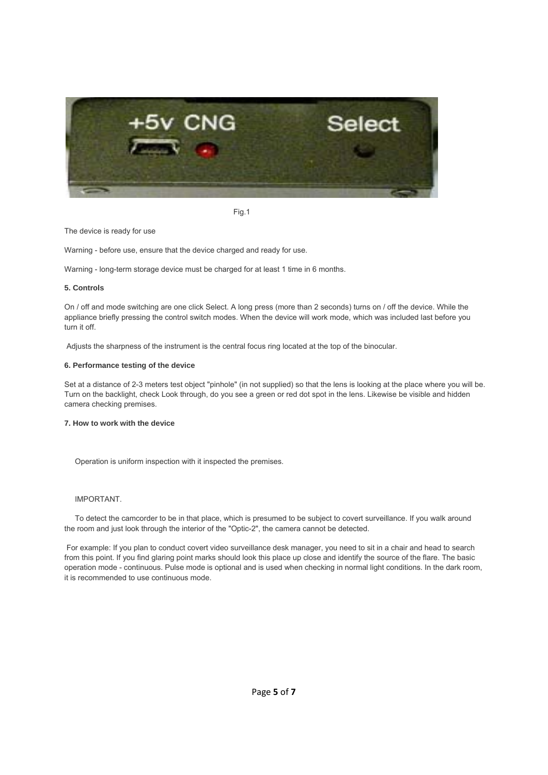

Fig.1

The device is ready for use

Warning - before use, ensure that the device charged and ready for use.

Warning - long-term storage device must be charged for at least 1 time in 6 months.

#### **5. Controls**

On / off and mode switching are one click Select. A long press (more than 2 seconds) turns on / off the device. While the appliance briefly pressing the control switch modes. When the device will work mode, which was included last before you turn it off.

Adjusts the sharpness of the instrument is the central focus ring located at the top of the binocular.

#### **6. Performance testing of the device**

Set at a distance of 2-3 meters test object "pinhole" (in not supplied) so that the lens is looking at the place where you will be. Turn on the backlight, check Look through, do you see a green or red dot spot in the lens. Likewise be visible and hidden camera checking premises.

#### **7. How to work with the device**

Operation is uniform inspection with it inspected the premises.

#### IMPORTANT.

 To detect the camcorder to be in that place, which is presumed to be subject to covert surveillance. If you walk around the room and just look through the interior of the "Optic-2", the camera cannot be detected.

 For example: If you plan to conduct covert video surveillance desk manager, you need to sit in a chair and head to search from this point. If you find glaring point marks should look this place up close and identify the source of the flare. The basic operation mode - continuous. Pulse mode is optional and is used when checking in normal light conditions. In the dark room, it is recommended to use continuous mode.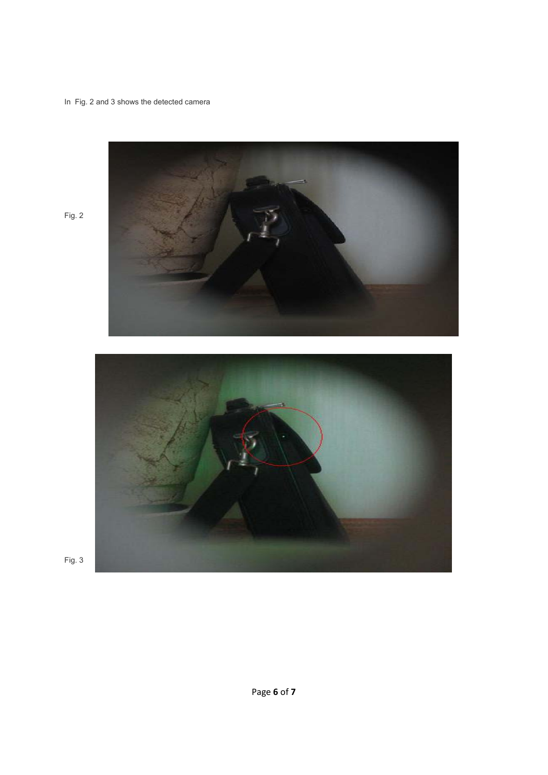## In Fig. 2 and 3 shows the detected camera



Fig. 2



Fig. 3